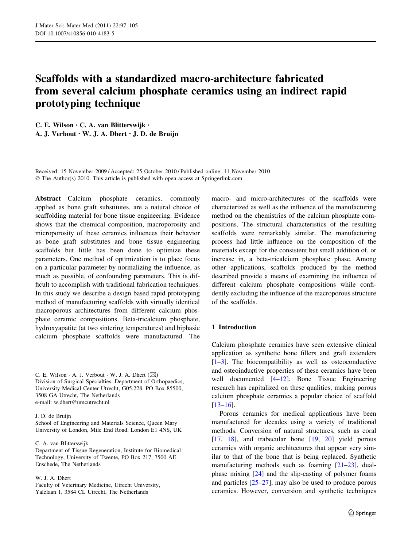# Scaffolds with a standardized macro-architecture fabricated from several calcium phosphate ceramics using an indirect rapid prototyping technique

C. E. Wilson • C. A. van Blitterswijk • A. J. Verbout • W. J. A. Dhert • J. D. de Bruijn

Received: 15 November 2009 / Accepted: 25 October 2010 / Published online: 11 November 2010 © The Author(s) 2010. This article is published with open access at Springerlink.com

Abstract Calcium phosphate ceramics, commonly applied as bone graft substitutes, are a natural choice of scaffolding material for bone tissue engineering. Evidence shows that the chemical composition, macroporosity and microporosity of these ceramics influences their behavior as bone graft substitutes and bone tissue engineering scaffolds but little has been done to optimize these parameters. One method of optimization is to place focus on a particular parameter by normalizing the influence, as much as possible, of confounding parameters. This is difficult to accomplish with traditional fabrication techniques. In this study we describe a design based rapid prototyping method of manufacturing scaffolds with virtually identical macroporous architectures from different calcium phosphate ceramic compositions. Beta-tricalcium phosphate, hydroxyapatite (at two sintering temperatures) and biphasic calcium phosphate scaffolds were manufactured. The

C. E. Wilson  $\cdot$  A. J. Verbout  $\cdot$  W. J. A. Dhert ( $\boxtimes$ ) Division of Surgical Specialties, Department of Orthopaedics, University Medical Center Utrecht, G05.228, PO Box 85500, 3508 GA Utrecht, The Netherlands e-mail: w.dhert@umcutrecht.nl

# J. D. de Bruijn

School of Engineering and Materials Science, Queen Mary University of London, Mile End Road, London E1 4NS, UK

C. A. van Blitterswijk

Department of Tissue Regeneration, Institute for Biomedical Technology, University of Twente, PO Box 217, 7500 AE Enschede, The Netherlands

#### W. J. A. Dhert

Faculty of Veterinary Medicine, Utrecht University, Yalelaan 1, 3584 CL Utrecht, The Netherlands

macro- and micro-architectures of the scaffolds were characterized as well as the influence of the manufacturing method on the chemistries of the calcium phosphate compositions. The structural characteristics of the resulting scaffolds were remarkably similar. The manufacturing process had little influence on the composition of the materials except for the consistent but small addition of, or increase in, a beta-tricalcium phosphate phase. Among other applications, scaffolds produced by the method described provide a means of examining the influence of different calcium phosphate compositions while confidently excluding the influence of the macroporous structure of the scaffolds.

# 1 Introduction

Calcium phosphate ceramics have seen extensive clinical application as synthetic bone fillers and graft extenders  $[1-3]$ . The biocompatibility as well as osteoconductive and osteoinductive properties of these ceramics have been well documented [\[4–12](#page-7-0)]. Bone Tissue Engineering research has capitalized on these qualities, making porous calcium phosphate ceramics a popular choice of scaffold [\[13–16](#page-7-0)].

Porous ceramics for medical applications have been manufactured for decades using a variety of traditional methods. Conversion of natural structures, such as coral [\[17](#page-7-0), [18\]](#page-7-0), and trabecular bone [\[19](#page-7-0), [20\]](#page-7-0) yield porous ceramics with organic architectures that appear very similar to that of the bone that is being replaced. Synthetic manufacturing methods such as foaming [[21–23\]](#page-7-0), dualphase mixing [\[24](#page-7-0)] and the slip-casting of polymer foams and particles [[25–27\]](#page-7-0), may also be used to produce porous ceramics. However, conversion and synthetic techniques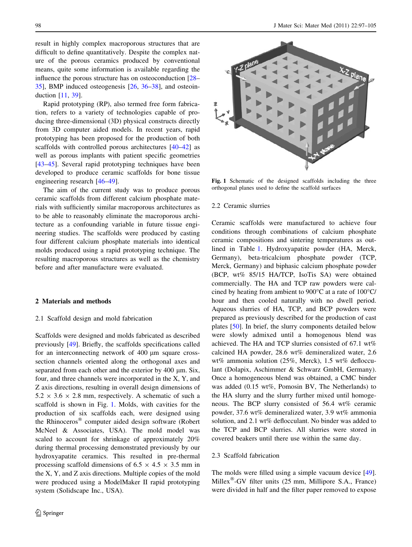<span id="page-1-0"></span>result in highly complex macroporous structures that are difficult to define quantitatively. Despite the complex nature of the porous ceramics produced by conventional means, quite some information is available regarding the influence the porous structure has on osteoconduction [\[28](#page-7-0)– [35](#page-7-0)], BMP induced osteogenesis [\[26](#page-7-0), [36](#page-7-0)[–38](#page-8-0)], and osteoinduction [[11,](#page-7-0) [39](#page-8-0)].

Rapid prototyping (RP), also termed free form fabrication, refers to a variety of technologies capable of producing three-dimensional (3D) physical constructs directly from 3D computer aided models. In recent years, rapid prototyping has been proposed for the production of both scaffolds with controlled porous architectures [\[40–42](#page-8-0)] as well as porous implants with patient specific geometries [\[43–45](#page-8-0)]. Several rapid prototyping techniques have been developed to produce ceramic scaffolds for bone tissue engineering research [[46–49\]](#page-8-0).

The aim of the current study was to produce porous ceramic scaffolds from different calcium phosphate materials with sufficiently similar macroporous architectures as to be able to reasonably eliminate the macroporous architecture as a confounding variable in future tissue engineering studies. The scaffolds were produced by casting four different calcium phosphate materials into identical molds produced using a rapid prototyping technique. The resulting macroporous structures as well as the chemistry before and after manufacture were evaluated.

# 2 Materials and methods

#### 2.1 Scaffold design and mold fabrication

Scaffolds were designed and molds fabricated as described previously [[49\]](#page-8-0). Briefly, the scaffolds specifications called for an interconnecting network of  $400 \mu m$  square crosssection channels oriented along the orthogonal axes and separated from each other and the exterior by  $400 \mu m$ . Six, four, and three channels were incorporated in the X, Y, and Z axis directions, resulting in overall design dimensions of  $5.2 \times 3.6 \times 2.8$  mm, respectively. A schematic of such a scaffold is shown in Fig. 1. Molds, with cavities for the production of six scaffolds each, were designed using the Rhinoceros<sup>®</sup> computer aided design software (Robert McNeel & Associates, USA). The mold model was scaled to account for shrinkage of approximately 20% during thermal processing demonstrated previously by our hydroxyapatite ceramics. This resulted in pre-thermal processing scaffold dimensions of 6.5  $\times$  4.5  $\times$  3.5 mm in the X, Y, and Z axis directions. Multiple copies of the mold were produced using a ModelMaker II rapid prototyping system (Solidscape Inc., USA).



Fig. 1 Schematic of the designed scaffolds including the three orthogonal planes used to define the scaffold surfaces

#### 2.2 Ceramic slurries

Ceramic scaffolds were manufactured to achieve four conditions through combinations of calcium phosphate ceramic compositions and sintering temperatures as outlined in Table [1](#page-2-0). Hydroxyapatite powder (HA, Merck, Germany), beta-tricalcium phosphate powder (TCP, Merck, Germany) and biphasic calcium phosphate powder (BCP, wt% 85/15 HA/TCP, IsoTis SA) were obtained commercially. The HA and TCP raw powders were calcined by heating from ambient to  $900^{\circ}$ C at a rate of  $100^{\circ}$ C/ hour and then cooled naturally with no dwell period. Aqueous slurries of HA, TCP, and BCP powders were prepared as previously described for the production of cast plates [\[50](#page-8-0)]. In brief, the slurry components detailed below were slowly admixed until a homogenous blend was achieved. The HA and TCP slurries consisted of 67.1 wt% calcined HA powder, 28.6 wt% demineralized water, 2.6 wt% ammonia solution (25%, Merck), 1.5 wt% deflocculant (Dolapix, Aschimmer & Schwarz GmbH, Germany). Once a homogeneous blend was obtained, a CMC binder was added (0.15 wt%, Pomosin BV, The Netherlands) to the HA slurry and the slurry further mixed until homogeneous. The BCP slurry consisted of 56.4 wt% ceramic powder, 37.6 wt% demineralized water, 3.9 wt% ammonia solution, and 2.1 wt% deflocculant. No binder was added to the TCP and BCP slurries. All slurries were stored in covered beakers until there use within the same day.

# 2.3 Scaffold fabrication

The molds were filled using a simple vacuum device [\[49](#page-8-0)]. Millex<sup>®</sup>-GV filter units  $(25 \text{ mm}, \text{ Millipore S.A., France})$ were divided in half and the filter paper removed to expose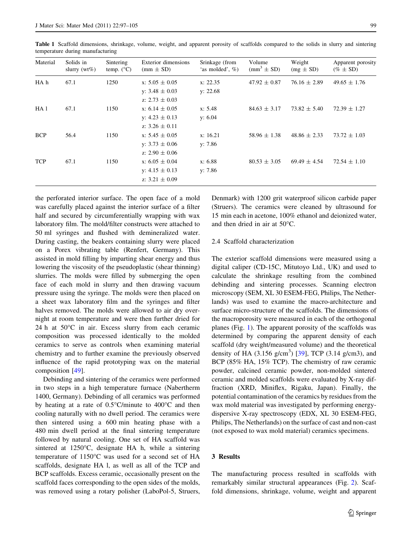| Material   | Solids in<br>slurry $(wt\%)$ | Sintering<br>temp. $(^{\circ}C)$ | Exterior dimensions<br>$(mm \pm SD)$ | Srinkage (from<br>'as molded', $\%$ ) | Volume<br>$\text{(mm}^3 \pm \text{SD)}$ | Weight<br>$(mg \pm SD)$ | Apparent porosity<br>$(\% \pm SD)$ |
|------------|------------------------------|----------------------------------|--------------------------------------|---------------------------------------|-----------------------------------------|-------------------------|------------------------------------|
| HA h       | 67.1                         | 1250                             | x: $5.05 \pm 0.05$                   | x: 22.35                              | $47.92 \pm 0.87$                        | $76.16 \pm 2.89$        | $49.65 \pm 1.76$                   |
|            |                              |                                  | y: $3.48 \pm 0.03$                   | y: 22.68                              |                                         |                         |                                    |
|            |                              |                                  | z: 2.73 $\pm$ 0.03                   |                                       |                                         |                         |                                    |
| HA 1       | 67.1                         | 1150                             | x: $6.14 \pm 0.05$                   | x: 5.48                               | $84.63 \pm 3.17$                        | $73.82 \pm 5.40$        | $72.39 \pm 1.27$                   |
|            |                              |                                  | y: $4.23 \pm 0.13$                   | y: $6.04$                             |                                         |                         |                                    |
|            |                              |                                  | z: $3.26 \pm 0.11$                   |                                       |                                         |                         |                                    |
| <b>BCP</b> | 56.4                         | 1150                             | x: $5.45 \pm 0.05$                   | x: 16.21                              | $58.96 \pm 1.38$                        | $48.86 \pm 2.33$        | $73.72 \pm 1.03$                   |
|            |                              |                                  | y: $3.73 \pm 0.06$                   | y: 7.86                               |                                         |                         |                                    |
|            |                              |                                  | z: 2.90 $\pm$ 0.06                   |                                       |                                         |                         |                                    |
| <b>TCP</b> | 67.1                         | 1150                             | x: $6.05 \pm 0.04$                   | x: 6.88                               | $80.53 \pm 3.05$                        | $69.49 \pm 4.54$        | $72.54 \pm 1.10$                   |
|            |                              |                                  | y: $4.15 \pm 0.13$                   | y: 7.86                               |                                         |                         |                                    |
|            |                              |                                  | z: $3.21 \pm 0.09$                   |                                       |                                         |                         |                                    |

<span id="page-2-0"></span>Table 1 Scaffold dimensions, shrinkage, volume, weight, and apparent porosity of scaffolds compared to the solids in slurry and sintering temperature during manufacturing

the perforated interior surface. The open face of a mold was carefully placed against the interior surface of a filter half and secured by circumferentially wrapping with wax laboratory film. The mold/filter constructs were attached to 50 ml syringes and flushed with demineralized water. During casting, the beakers containing slurry were placed on a Porex vibrating table (Renfert, Germany). This assisted in mold filling by imparting shear energy and thus lowering the viscosity of the pseudoplastic (shear thinning) slurries. The molds were filled by submerging the open face of each mold in slurry and then drawing vacuum pressure using the syringe. The molds were then placed on a sheet wax laboratory film and the syringes and filter halves removed. The molds were allowed to air dry overnight at room temperature and were then further dried for 24 h at  $50^{\circ}$ C in air. Excess slurry from each ceramic composition was processed identically to the molded ceramics to serve as controls when examining material chemistry and to further examine the previously observed influence of the rapid prototyping wax on the material composition [\[49](#page-8-0)].

Debinding and sintering of the ceramics were performed in two steps in a high temperature furnace (Nabertherm 1400, Germany). Debinding of all ceramics was performed by heating at a rate of  $0.5^{\circ}$ C/minute to 400 $^{\circ}$ C and then cooling naturally with no dwell period. The ceramics were then sintered using a 600 min heating phase with a 480 min dwell period at the final sintering temperature followed by natural cooling. One set of HA scaffold was sintered at  $1250^{\circ}$ C, designate HA h, while a sintering temperature of  $1150^{\circ}$ C was used for a second set of HA scaffolds, designate HA l, as well as all of the TCP and BCP scaffolds. Excess ceramic, occasionally present on the scaffold faces corresponding to the open sides of the molds, was removed using a rotary polisher (LaboPol-5, Struers, Denmark) with 1200 grit waterproof silicon carbide paper (Struers). The ceramics were cleaned by ultrasound for 15 min each in acetone, 100% ethanol and deionized water, and then dried in air at 50°C.

# 2.4 Scaffold characterization

The exterior scaffold dimensions were measured using a digital caliper (CD-15C, Mitutoyo Ltd., UK) and used to calculate the shrinkage resulting from the combined debinding and sintering processes. Scanning electron microscopy (SEM, XL 30 ESEM-FEG, Philips, The Netherlands) was used to examine the macro-architecture and surface micro-structure of the scaffolds. The dimensions of the macroporosity were measured in each of the orthogonal planes (Fig. [1](#page-1-0)). The apparent porosity of the scaffolds was determined by comparing the apparent density of each scaffold (dry weight/measured volume) and the theoretical density of HA  $(3.156 \text{ g/cm}^3)$  [[39\]](#page-8-0), TCP  $(3.14 \text{ g/cm}^3)$ , and BCP (85% HA, 15% TCP). The chemistry of raw ceramic powder, calcined ceramic powder, non-molded sintered ceramic and molded scaffolds were evaluated by X-ray diffraction (XRD, Miniflex, Rigaku, Japan). Finally, the potential contamination of the ceramics by residues from the wax mold material was investigated by performing energydispersive X-ray spectroscopy (EDX, XL 30 ESEM-FEG, Philips, The Netherlands) on the surface of cast and non-cast (not exposed to wax mold material) ceramics specimens.

# 3 Results

The manufacturing process resulted in scaffolds with remarkably similar structural appearances (Fig. [2\)](#page-3-0). Scaffold dimensions, shrinkage, volume, weight and apparent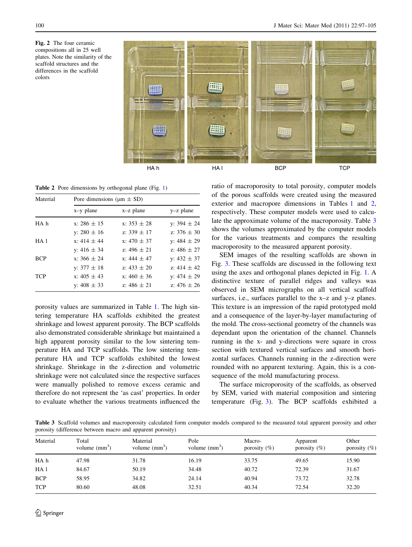<span id="page-3-0"></span>



Table 2 Pore dimensions by orthogonal plane (Fig. [1](#page-1-0))

| Material   | Pore dimensions ( $\mu$ m $\pm$ SD) |                 |                 |  |  |  |
|------------|-------------------------------------|-----------------|-----------------|--|--|--|
|            | $x-y$ plane                         | $x-z$ plane     | $y-z$ plane     |  |  |  |
| HA h       | $x: 286 \pm 15$                     | $x: 353 + 28$   | y: $394 \pm 24$ |  |  |  |
|            | v: 280 $\pm$ 16                     | z: $339 \pm 17$ | z: $376 \pm 30$ |  |  |  |
| HA 1       | x: $414 \pm 44$                     | $x: 470 \pm 37$ | y: $484 \pm 29$ |  |  |  |
|            | y: $416 \pm 34$                     | z: 496 $\pm$ 21 | z: $486 \pm 27$ |  |  |  |
| <b>BCP</b> | $x: 366 \pm 24$                     | x: $444 \pm 47$ | y: $432 \pm 37$ |  |  |  |
|            | y: $377 \pm 18$                     | z: $433 \pm 20$ | z: 414 $\pm$ 42 |  |  |  |
| <b>TCP</b> | x: $405 \pm 43$                     | x: $460 \pm 36$ | y: $474 \pm 29$ |  |  |  |
|            | y: $408 \pm 33$                     | z: $486 \pm 21$ | z: 476 $\pm$ 26 |  |  |  |

porosity values are summarized in Table [1.](#page-2-0) The high sintering temperature HA scaffolds exhibited the greatest shrinkage and lowest apparent porosity. The BCP scaffolds also demonstrated considerable shrinkage but maintained a high apparent porosity similar to the low sintering temperature HA and TCP scaffolds. The low sintering temperature HA and TCP scaffolds exhibited the lowest shrinkage. Shrinkage in the z-direction and volumetric shrinkage were not calculated since the respective surfaces were manually polished to remove excess ceramic and therefore do not represent the 'as cast' properties. In order to evaluate whether the various treatments influenced the ratio of macroporosity to total porosity, computer models of the porous scaffolds were created using the measured exterior and macropore dimensions in Tables [1](#page-2-0) and 2, respectively. These computer models were used to calculate the approximate volume of the macroporosity. Table 3 shows the volumes approximated by the computer models for the various treatments and compares the resulting macroporosity to the measured apparent porosity.

SEM images of the resulting scaffolds are shown in Fig. [3](#page-4-0). These scaffolds are discussed in the following text using the axes and orthogonal planes depicted in Fig. [1.](#page-1-0) A distinctive texture of parallel ridges and valleys was observed in SEM micrographs on all vertical scaffold surfaces, i.e., surfaces parallel to the x–z and y–z planes. This texture is an impression of the rapid prototyped mold and a consequence of the layer-by-layer manufacturing of the mold. The cross-sectional geometry of the channels was dependant upon the orientation of the channel. Channels running in the x- and y-directions were square in cross section with textured vertical surfaces and smooth horizontal surfaces. Channels running in the z-direction were rounded with no apparent texturing. Again, this is a consequence of the mold manufacturing process.

The surface microporosity of the scaffolds, as observed by SEM, varied with material composition and sintering temperature (Fig. [3\)](#page-4-0). The BCP scaffolds exhibited a

Table 3 Scaffold volumes and macroporosity calculated form computer models compared to the measured total apparent porosity and other porosity (difference between macro and apparent porosity)

| Total<br>volume $\text{(mm)}^3$ ) | Material<br>volume $(mm3)$ | Pole<br>volume $\text{(mm)}^3$ ) | Macro-<br>porosity $(\%)$ | Apparent<br>porosity $(\%)$ | Other<br>porosity $(\%)$ |
|-----------------------------------|----------------------------|----------------------------------|---------------------------|-----------------------------|--------------------------|
| 47.98                             | 31.78                      | 16.19                            | 33.75                     | 49.65                       | 15.90                    |
| 84.67                             | 50.19                      | 34.48                            | 40.72                     | 72.39                       | 31.67                    |
| 58.95                             | 34.82                      | 24.14                            | 40.94                     | 73.72                       | 32.78                    |
| 80.60                             | 48.08                      | 32.51                            | 40.34                     | 72.54                       | 32.20                    |
|                                   |                            |                                  |                           |                             |                          |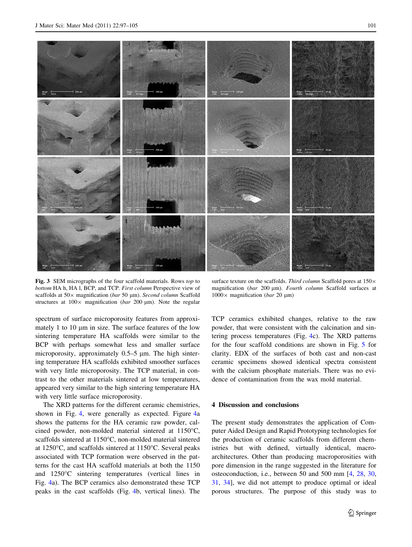<span id="page-4-0"></span>

Fig. 3 SEM micrographs of the four scaffold materials. Rows top to bottom HA h, HA l, BCP, and TCP. First column Perspective view of scaffolds at  $50 \times$  magnification (bar 50 µm). Second column Scaffold structures at  $100 \times$  magnification (bar 200 µm). Note the regular

spectrum of surface microporosity features from approximately 1 to 10  $\mu$ m in size. The surface features of the low sintering temperature HA scaffolds were similar to the BCP with perhaps somewhat less and smaller surface microporosity, approximately  $0.5-5$   $\mu$ m. The high sintering temperature HA scaffolds exhibited smoother surfaces with very little microporosity. The TCP material, in contrast to the other materials sintered at low temperatures, appeared very similar to the high sintering temperature HA with very little surface microporosity.

The XRD patterns for the different ceramic chemistries, shown in Fig. [4](#page-5-0), were generally as expected. Figure [4a](#page-5-0) shows the patterns for the HA ceramic raw powder, calcined powder, non-molded material sintered at  $1150^{\circ}$ C, scaffolds sintered at  $1150^{\circ}$ C, non-molded material sintered at 1250 $\degree$ C, and scaffolds sintered at 1150 $\degree$ C. Several peaks associated with TCP formation were observed in the patterns for the cast HA scaffold materials at both the 1150 and 1250°C sintering temperatures (vertical lines in Fig. [4](#page-5-0)a). The BCP ceramics also demonstrated these TCP peaks in the cast scaffolds (Fig. [4b](#page-5-0), vertical lines). The

surface texture on the scaffolds. Third column Scaffold pores at  $150 \times$ magnification (bar 200 µm). Fourth column Scaffold surfaces at  $1000 \times$  magnification (*bar* 20 µm)

TCP ceramics exhibited changes, relative to the raw powder, that were consistent with the calcination and sintering process temperatures (Fig. [4](#page-5-0)c). The XRD patterns for the four scaffold conditions are shown in Fig. [5](#page-6-0) for clarity. EDX of the surfaces of both cast and non-cast ceramic specimens showed identical spectra consistent with the calcium phosphate materials. There was no evidence of contamination from the wax mold material.

# 4 Discussion and conclusions

The present study demonstrates the application of Computer Aided Design and Rapid Prototyping technologies for the production of ceramic scaffolds from different chemistries but with defined, virtually identical, macroarchitectures. Other than producing macroporosities with pore dimension in the range suggested in the literature for osteoconduction, i.e., between 50 and 500 mm [[4,](#page-7-0) [28,](#page-7-0) [30,](#page-7-0) [31](#page-7-0), [34](#page-7-0)], we did not attempt to produce optimal or ideal porous structures. The purpose of this study was to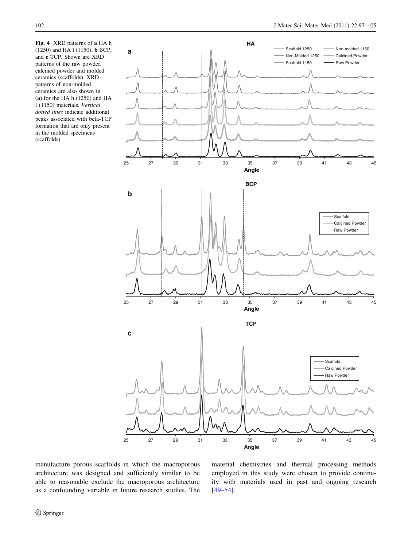<span id="page-5-0"></span>Fig. 4 XRD patterns of a HA h (1250) and HA l (1150), b BCP, and c TCP. Shown are XRD patterns of the raw powder, calcined powder and molded ceramics (scaffolds). XRD patterns of non-molded ceramics are also shown in (a) for the HA h (1250) and HA l (1150) materials. Vertical dotted lines indicate additional peaks associated with beta-TCP formation that are only present in the molded specimens (scaffolds)



manufacture porous scaffolds in which the macroporous architecture was designed and sufficiently similar to be able to reasonable exclude the macroporous architecture as a confounding variable in future research studies. The material chemistries and thermal processing methods employed in this study were chosen to provide continuity with materials used in past and ongoing research [\[49–54](#page-8-0)].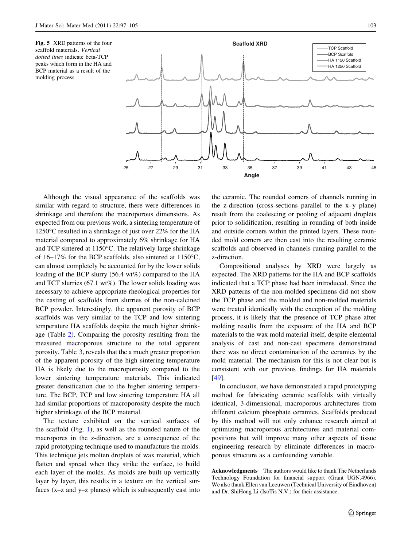<span id="page-6-0"></span>Fig. 5 XRD patterns of the four scaffold materials. Vertical dotted lines indicate beta-TCP peaks which form in the HA and BCP material as a result of the molding process



Although the visual appearance of the scaffolds was similar with regard to structure, there were differences in shrinkage and therefore the macroporous dimensions. As expected from our previous work, a sintering temperature of 1250 $\degree$ C resulted in a shrinkage of just over 22% for the HA material compared to approximately 6% shrinkage for HA and TCP sintered at  $1150^{\circ}$ C. The relatively large shrinkage of 16–17% for the BCP scaffolds, also sintered at  $1150^{\circ}$ C, can almost completely be accounted for by the lower solids loading of the BCP slurry (56.4 wt%) compared to the HA and TCT slurries (67.1 wt%). The lower solids loading was necessary to achieve appropriate rheological properties for the casting of scaffolds from slurries of the non-calcined BCP powder. Interestingly, the apparent porosity of BCP scaffolds was very similar to the TCP and low sintering temperature HA scaffolds despite the much higher shrinkage (Table [2](#page-3-0)). Comparing the porosity resulting from the measured macroporous structure to the total apparent porosity, Table [3,](#page-3-0) reveals that the a much greater proportion of the apparent porosity of the high sintering temperature HA is likely due to the macroporosity compared to the lower sintering temperature materials. This indicated greater densification due to the higher sintering temperature. The BCP, TCP and low sintering temperature HA all had similar proportions of macroporosity despite the much higher shrinkage of the BCP material.

The texture exhibited on the vertical surfaces of the scaffold (Fig. [1](#page-1-0)), as well as the rounded nature of the macropores in the z-direction, are a consequence of the rapid prototyping technique used to manufacture the molds. This technique jets molten droplets of wax material, which flatten and spread when they strike the surface, to build each layer of the molds. As molds are built up vertically layer by layer, this results in a texture on the vertical surfaces (x–z and y–z planes) which is subsequently cast into the ceramic. The rounded corners of channels running in the z-direction (cross-sections parallel to the x–y plane) result from the coalescing or pooling of adjacent droplets prior to solidification, resulting in rounding of both inside and outside corners within the printed layers. These rounded mold corners are then cast into the resulting ceramic scaffolds and observed in channels running parallel to the z-direction.

Compositional analyses by XRD were largely as expected. The XRD patterns for the HA and BCP scaffolds indicated that a TCP phase had been introduced. Since the XRD patterns of the non-molded specimens did not show the TCP phase and the molded and non-molded materials were treated identically with the exception of the molding process, it is likely that the presence of TCP phase after molding results from the exposure of the HA and BCP materials to the wax mold material itself, despite elemental analysis of cast and non-cast specimens demonstrated there was no direct contamination of the ceramics by the mold material. The mechanism for this is not clear but is consistent with our previous findings for HA materials [\[49](#page-8-0)].

In conclusion, we have demonstrated a rapid prototyping method for fabricating ceramic scaffolds with virtually identical, 3-dimensional, macroporous architectures from different calcium phosphate ceramics. Scaffolds produced by this method will not only enhance research aimed at optimizing macroporous architectures and material compositions but will improve many other aspects of tissue engineering research by eliminate differences in macroporous structure as a confounding variable.

Acknowledgments The authors would like to thank The Netherlands Technology Foundation for financial support (Grant UGN.4966). We also thank Ellen van Leeuwen (Technical University of Eindhoven) and Dr. ShiHong Li (IsoTis N.V.) for their assistance.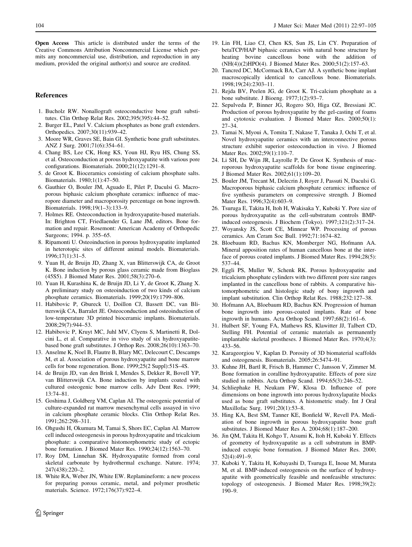<span id="page-7-0"></span>Open Access This article is distributed under the terms of the Creative Commons Attribution Noncommercial License which permits any noncommercial use, distribution, and reproduction in any medium, provided the original author(s) and source are credited.

# References

- 1. Bucholz RW. Nonallograft osteoconductive bone graft substitutes. Clin Orthop Relat Res. 2002;395(395):44–52.
- 2. Burger EL, Patel V. Calcium phosphates as bone graft extenders. Orthopedics. 2007;30(11):939–42.
- 3. Moore WR, Graves SE, Bain GI. Synthetic bone graft substitutes. ANZ J Surg. 2001;71(6):354–61.
- 4. Chang BS, Lee CK, Hong KS, Youn HJ, Ryu HS, Chung SS, et al. Osteoconduction at porous hydroxyapatite with various pore configurations. Biomaterials. 2000;21(12):1291–8.
- 5. de Groot K. Bioceramics consisting of calcium phosphate salts. Biomaterials. 1980;1(1):47–50.
- 6. Gauthier O, Bouler JM, Aguado E, Pilet P, Daculsi G. Macroporous biphasic calcium phosphate ceramics: influence of macropore diameter and macroporosity percentage on bone ingrowth. Biomaterials. 1998;19(1–3):133–9.
- 7. Holmes RE. Osteoconduction in hydroxyapatite-based materials. In: Brighton CT, Friedlaender G, Lane JM, editors. Bone formation and repair. Rosemont: American Academy of Orthopedic Surgeons; 1994. p. 355–65.
- 8. Ripamonti U. Osteoinduction in porous hydroxyapatite implanted in heterotopic sites of different animal models. Biomaterials. 1996;17(1):31–5.
- 9. Yuan H, de Bruijn JD, Zhang X, van Blitterswijk CA, de Groot K. Bone induction by porous glass ceramic made from Bioglass (45S5). J Biomed Mater Res. 2001;58(3):270–6.
- 10. Yuan H, Kurashina K, de Bruijn JD, Li Y, de Groot K, Zhang X. A preliminary study on osteoinduction of two kinds of calcium phosphate ceramics. Biomaterials. 1999;20(19):1799–806.
- 11. Habibovic P, Gbureck U, Doillon CJ, Bassett DC, van Blitterswijk CA, Barralet JE. Osteoconduction and osteoinduction of low-temperature 3D printed bioceramic implants. Biomaterials. 2008;29(7):944–53.
- 12. Habibovic P, Kruyt MC, Juhl MV, Clyens S, Martinetti R, Dolcini L, et al. Comparative in vivo study of six hydroxyapatitebased bone graft substitutes. J Orthop Res. 2008;26(10):1363–70.
- 13. Anselme K, Noel B, Flautre B, Blary MC, Delecourt C, Descamps M, et al. Association of porous hydroxyapatite and bone marrow cells for bone regeneration. Bone. 1999;25(2 Suppl):51S–4S.
- 14. de Bruijn JD, van den Brink I, Mendes S, Dekker R, Bovell YP, van Blitterswijk CA. Bone induction by implants coated with cultured osteogenic bone marrow cells. Adv Dent Res. 1999; 13:74–81.
- 15. Goshima J, Goldberg VM, Caplan AI. The osteogenic potential of culture-expanded rat marrow mesenchymal cells assayed in vivo in calcium phosphate ceramic blocks. Clin Orthop Relat Res. 1991;262:298–311.
- 16. Ohgushi H, Okumura M, Tamai S, Shors EC, Caplan AI. Marrow cell induced osteogenesis in porous hydroxyapatite and tricalcium phosphate: a comparative histomorphometric study of ectopic bone formation. J Biomed Mater Res. 1990;24(12):1563–70.
- 17. Roy DM, Linnehan SK. Hydroxyapatite formed from coral skeletal carbonate by hydrothermal exchange. Nature. 1974; 247(438):220–2.
- 18. White RA, Weber JN, White EW. Replamineform: a new process for preparing porous ceramic, metal, and polymer prosthetic materials. Science. 1972;176(37):922–4.
- 19. Lin FH, Liao CJ, Chen KS, Sun JS, Lin CY. Preparation of betaTCP/HAP biphasic ceramics with natural bone structure by heating bovine cancellous bone with the addition of (NH(4))(2)HPO(4). J Biomed Mater Res. 2000;51(2):157–63.
- 20. Tancred DC, McCormack BA, Carr AJ. A synthetic bone implant macroscopically identical to cancellous bone. Biomaterials. 1998;19(24):2303–11.
- 21. Rejda BV, Peelen JG, de Groot K. Tri-calcium phosphate as a bone substitute. J Bioeng. 1977;1(2):93–7.
- 22. Sepulveda P, Binner JG, Rogero SO, Higa OZ, Bressiani JC. Production of porous hydroxyapatite by the gel-casting of foams and cytotoxic evaluation. J Biomed Mater Res. 2000;50(1): 27–34.
- 23. Tamai N, Myoui A, Tomita T, Nakase T, Tanaka J, Ochi T, et al. Novel hydroxyapatite ceramics with an interconnective porous structure exhibit superior osteoconduction in vivo. J Biomed Mater Res. 2002;59(1):110–7.
- 24. Li SH, De Wijn JR, Layrolle P, De Groot K. Synthesis of macroporous hydroxyapatite scaffolds for bone tissue engineering. J Biomed Mater Res. 2002;61(1):109–20.
- 25. Bouler JM, Trecant M, Delecrin J, Royer J, Passuti N, Daculsi G. Macroporous biphasic calcium phosphate ceramics: influence of five synthesis parameters on compressive strength. J Biomed Mater Res. 1996;32(4):603–9.
- 26. Tsuruga E, Takita H, Itoh H, Wakisaka Y, Kuboki Y. Pore size of porous hydroxyapatite as the cell-substratum controls BMPinduced osteogenesis. J Biochem (Tokyo). 1997;121(2):317–24.
- 27. Woyansky JS, Scott CE, Minnear WP. Processing of porous ceramics. Am Ceram Soc Bull. 1992;71:1674–82.
- 28. Bloebaum RD, Bachus KN, Momberger NG, Hofmann AA. Mineral apposition rates of human cancellous bone at the interface of porous coated implants. J Biomed Mater Res. 1994;28(5): 537–44.
- 29. Eggli PS, Muller W, Schenk RK. Porous hydroxyapatite and tricalcium phosphate cylinders with two different pore size ranges implanted in the cancellous bone of rabbits. A comparative histomorphometric and histologic study of bony ingrowth and implant substitution. Clin Orthop Relat Res. 1988;232:127–38.
- 30. Hofmann AA, Bloebaum RD, Bachus KN. Progression of human bone ingrowth into porous-coated implants. Rate of bone ingrowth in humans. Acta Orthop Scand. 1997;68(2):161–6.
- 31. Hulbert SF, Young FA, Mathews RS, Klawitter JJ, Talbert CD, Stelling FH. Potential of ceramic materials as permanently implantable skeletal prostheses. J Biomed Mater Res. 1970;4(3): 433–56.
- 32. Karageorgiou V, Kaplan D. Porosity of 3D biomaterial scaffolds and osteogenesis. Biomaterials. 2005;26:5474–91.
- 33. Kuhne JH, Bartl R, Frisch B, Hammer C, Jansson V, Zimmer M. Bone formation in coralline hydroxyapatite. Effects of pore size studied in rabbits. Acta Orthop Scand. 1994;65(3):246–52.
- 34. Schliephake H, Neukam FW, Klosa D. Influence of pore dimensions on bone ingrowth into porous hydroxylapatite blocks used as bone graft substitutes. A histometric study. Int J Oral Maxillofac Surg. 1991;20(1):53–8.
- 35. Hing KA, Best SM, Tanner KE, Bonfield W, Revell PA. Mediation of bone ingrowth in porous hydroxyapatite bone graft substitutes. J Biomed Mater Res A. 2004;68(1):187–200.
- 36. Jin QM, Takita H, Kohgo T, Atsumi K, Itoh H, Kuboki Y. Effects of geometry of hydroxyapatite as a cell substratum in BMPinduced ectopic bone formation. J Biomed Mater Res. 2000; 52(4):491–9.
- 37. Kuboki Y, Takita H, Kobayashi D, Tsuruga E, Inoue M, Murata M, et al. BMP-induced osteogenesis on the surface of hydroxyapatite with geometrically feasible and nonfeasible structures: topology of osteogenesis. J Biomed Mater Res. 1998;39(2): 190–9.